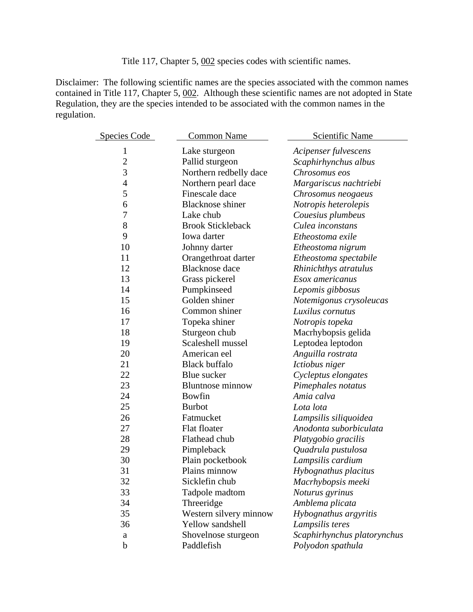Title 117, Chapter 5, 002 species codes with scientific names.

Disclaimer: The following scientific names are the species associated with the common names contained in Title 117, Chapter 5, 002. Although these scientific names are not adopted in State Regulation, they are the species intended to be associated with the common names in the regulation.

| Species Code   | <b>Common Name</b>       | Scientific Name             |
|----------------|--------------------------|-----------------------------|
| $\mathbf{1}$   | Lake sturgeon            | Acipenser fulvescens        |
| $\overline{c}$ | Pallid sturgeon          | Scaphirhynchus albus        |
| 3              | Northern redbelly dace   | Chrosomus eos               |
| $\overline{4}$ | Northern pearl dace      | Margariscus nachtriebi      |
| 5              | Finescale dace           | Chrosomus neogaeus          |
| 6              | <b>Blacknose</b> shiner  | Notropis heterolepis        |
| 7              | Lake chub                | Couesius plumbeus           |
| 8              | <b>Brook Stickleback</b> | Culea inconstans            |
| 9              | Iowa darter              | Etheostoma exile            |
| 10             | Johnny darter            | Etheostoma nigrum           |
| 11             | Orangethroat darter      | Etheostoma spectabile       |
| 12             | <b>Blacknose</b> dace    | Rhinichthys atratulus       |
| 13             | Grass pickerel           | Esox americanus             |
| 14             | Pumpkinseed              | Lepomis gibbosus            |
| 15             | Golden shiner            | Notemigonus crysoleucas     |
| 16             | Common shiner            | Luxilus cornutus            |
| 17             | Topeka shiner            | Notropis topeka             |
| 18             | Sturgeon chub            | Macrhybopsis gelida         |
| 19             | Scaleshell mussel        | Leptodea leptodon           |
| 20             | American eel             | Anguilla rostrata           |
| 21             | <b>Black buffalo</b>     | Ictiobus niger              |
| 22             | Blue sucker              | Cycleptus elongates         |
| 23             | <b>Bluntnose minnow</b>  | Pimephales notatus          |
| 24             | <b>Bowfin</b>            | Amia calva                  |
| 25             | <b>Burbot</b>            | Lota lota                   |
| 26             | Fatmucket                | Lampsilis siliquoidea       |
| 27             | Flat floater             | Anodonta suborbiculata      |
| 28             | Flathead chub            | Platygobio gracilis         |
| 29             | Pimpleback               | Quadrula pustulosa          |
| 30             | Plain pocketbook         | Lampsilis cardium           |
| 31             | Plains minnow            | Hybognathus placitus        |
| 32             | Sicklefin chub           | Macrhybopsis meeki          |
| 33             | Tadpole madtom           | Noturus gyrinus             |
| 34             | Threeridge               | Amblema plicata             |
| 35             | Western silvery minnow   | Hybognathus argyritis       |
| 36             | Yellow sandshell         | Lampsilis teres             |
| a              | Shovelnose sturgeon      | Scaphirhynchus platorynchus |
| b              | Paddlefish               | Polyodon spathula           |